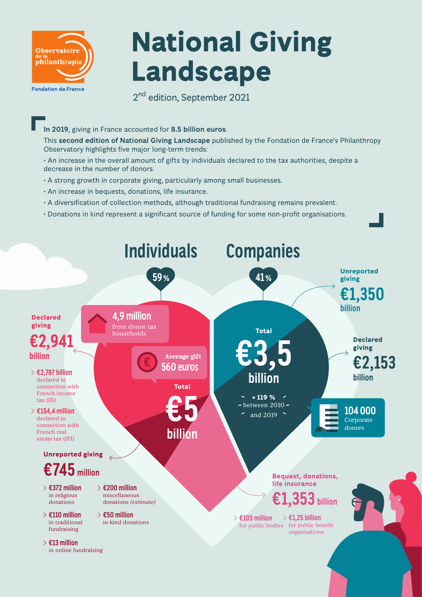

# **National Giving Landscape**

2<sup>nd</sup> edition, September 2021

#### **In 2019**, giving in France accounted for **8.5 billion euros**.

This **second edition of National Giving Landscape** published by the Fondation de France's Philanthropy Observatory highlights five major long-term trends:

• An increase in the overall amount of gifts by individuals declared to the tax authorities, despite a decrease in the number of donors.

- A strong growth in corporate giving, particularly among small businesses.
- An increase in bequests, donations, life insurance.
- A diversification of collection methods, although traditional fundraising remains prevalent.
- Donations in kind represent a significant source of funding for some non-profit organisations.

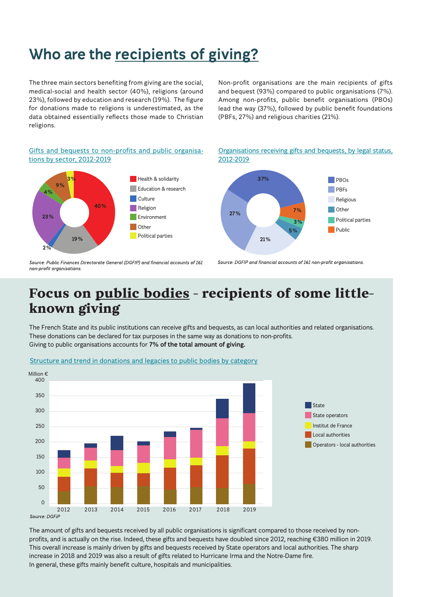# **Who are the recipients of giving?**

The three main sectors benefiting from giving are the social, medical-social and health sector (40%), religions (around 23%), followed by education and research (19%). The figure for donations made to religions is underestimated, as the data obtained essentially reflects those made to Christian religions.

Non-profit organisations are the main recipients of gifts and bequest (93%) compared to public organisations (7%). Among non-profits, public benefit organisations (PBOs) lead the way (37%), followed by public benefit foundations (PBFs, 27%) and religious charities (21%).

#### Gifts and bequests to non-profits and public organisations by sector, 2012-2019



Organisations receiving gifts and bequests, by legal status, 2012-2019



Source: Public Finances Directorate General (DGFIP) and financial accounts of 161 non-profit organisations

Source: DGFIP and financial accounts of 161 non-profit organisations.

### **Focus on public bodies - recipients of some littleknown giving**

The French State and its public institutions can receive gifts and bequests, as can local authorities and related organisations. These donations can be declared for tax purposes in the same way as donations to non-profits. Giving to public organisations accounts for **7% of the total amount of giving.**



Structure and trend in donations and legacies to public bodies by category

The amount of gifts and bequests received by all public organisations is significant compared to those received by nonprofits, and is actually on the rise. Indeed, these gifts and bequests have doubled since 2012, reaching €380 million in 2019. This overall increase is mainly driven by gifts and bequests received by State operators and local authorities. The sharp increase in 2018 and 2019 was also a result of gifts related to Hurricane Irma and the Notre-Dame fire. In general, these gifts mainly benefit culture, hospitals and municipalities.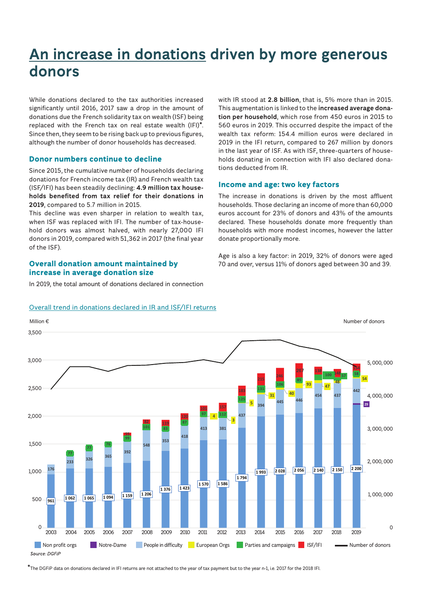### **An increase in donations driven by more generous donors**

While donations declared to the tax authorities increased significantly until 2016, 2017 saw a drop in the amount of donations due the French solidarity tax on wealth (ISF) being replaced with the French tax on real estate wealth (IFI)**\***. Since then, they seem to be rising back up to previous figures, although the number of donor households has decreased.

#### **Donor numbers continue to decline**

Since 2015, the cumulative number of households declaring donations for French income tax (IR) and French wealth tax (ISF/IFI) has been steadily declining: **4.9 million tax households benefited from tax relief for their donations in 2019**, compared to 5.7 million in 2015.

This decline was even sharper in relation to wealth tax, when ISF was replaced with IFI. The number of tax-household donors was almost halved, with nearly 27,000 IFI donors in 2019, compared with 51,362 in 2017 (the final year of the ISF).

#### **Overall donation amount maintained by increase in average donation size**

In 2019, the total amount of donations declared in connection

with IR stood at **2.8 billion**, that is, 5% more than in 2015. This augmentation is linked to the **increased average donation per household**, which rose from 450 euros in 2015 to 560 euros in 2019. This occurred despite the impact of the wealth tax reform: 154.4 million euros were declared in 2019 in the IFI return, compared to 267 million by donors in the last year of ISF. As with ISF, three-quarters of households donating in connection with IFI also declared donations deducted from IR.

#### **Income and age: two key factors**

The increase in donations is driven by the most affluent households. Those declaring an income of more than 60,000 euros account for 23% of donors and 43% of the amounts declared. These households donate more frequently than households with more modest incomes, however the latter donate proportionally more.

Age is also a key factor: in 2019, 32% of donors were aged 70 and over, versus 11% of donors aged between 30 and 39.



**\***The DGFiP data on donations declared in IFI returns are not attached to the year of tax payment but to the year n-1, i.e. 2017 for the 2018 IFI.

#### Overall trend in donations declared in IR and ISF/IFI returns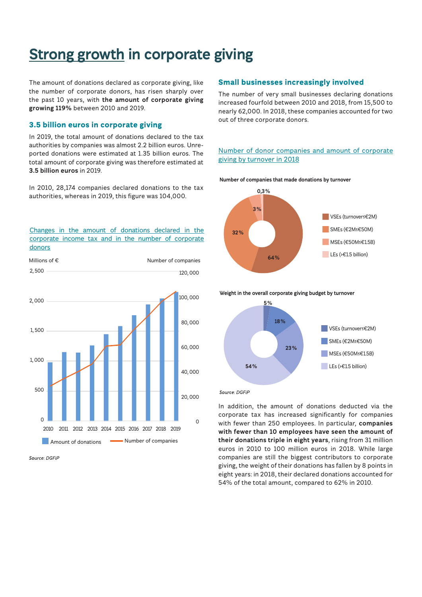### **Strong growth in corporate giving**

The amount of donations declared as corporate giving, like the number of corporate donors, has risen sharply over the past 10 years, with **the amount of corporate giving growing 119%** between 2010 and 2019.

#### **3.5 billion euros in corporate giving**

In 2019, the total amount of donations declared to the tax authorities by companies was almost 2.2 billion euros. Unreported donations were estimated at 1.35 billion euros. The total amount of corporate giving was therefore estimated at **3.5 billion euros** in 2019.

In 2010, 28,174 companies declared donations to the tax authorities, whereas in 2019, this figure was 104,000.

#### Changes in the amount of donations declared in the corporate income tax and in the number of corporate donors



Source: DGFiP

#### **Small businesses increasingly involved**

The number of very small businesses declaring donations increased fourfold between 2010 and 2018, from 15,500 to nearly 62,000. In 2018, these companies accounted for two out of three corporate donors.

#### Number of donor companies and amount of corporate giving by turnover in 2018







Source: DGFiP

In addition, the amount of donations deducted via the corporate tax has increased significantly for companies with fewer than 250 employees. In particular, **companies with fewer than 10 employees have seen the amount of their donations triple in eight years**, rising from 31 million euros in 2010 to 100 million euros in 2018. While large companies are still the biggest contributors to corporate giving, the weight of their donations has fallen by 8 points in eight years: in 2018, their declared donations accounted for 54% of the total amount, compared to 62% in 2010.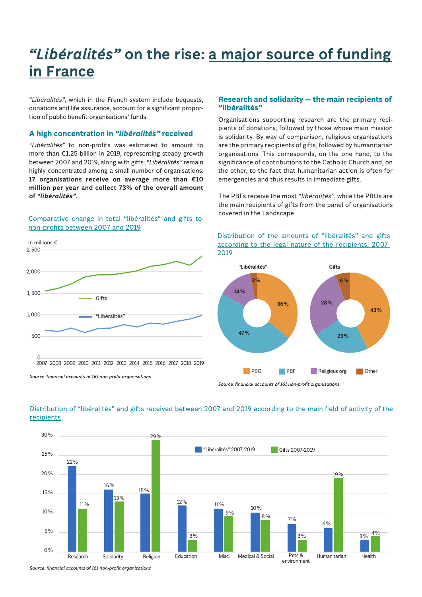## *"Libéralités"* **on the rise: a major source of funding in France**

*"Libéralités"*, which in the French system include bequests, donations and life assurance, account for a significant proportion of public benefit organisations' funds.

#### **A high concentration in** *"libéralités"* **received**

*"Libéralités"* to non-profits was estimated to amount to more than €1.25 billion in 2019, representing steady growth between 2007 and 2019, along with gifts. *"Libéralités"* remain highly concentrated among a small number of organisations: **17 organisations receive on average more than €10 million per year and collect 73% of the overall amount of** *"libéralités".*

#### Comparative change in total "libéralités" and gifts to non-profits between 2007 and 2019



Source: financial accounts of 161 non-profit organisations

#### **Research and solidarity — the main recipients of "libéralités"**

Organisations supporting research are the primary recipients of donations, followed by those whose main mission is solidarity. By way of comparison, religious organisations are the primary recipients of gifts, followed by humanitarian organisations. This corresponds, on the one hand, to the significance of contributions to the Catholic Church and, on the other, to the fact that humanitarian action is often for emergencies and thus results in immediate gifts.

The PBFs receive the most *"libéralités"*, while the PBOs are the main recipients of gifts from the panel of organisations covered in the Landscape.

#### Distribution of the amounts of "libéralités" and gifts according to the legal nature of the recipients, 2007- 2019



Source: financial accounts of 161 non-profit organisations



#### **recipients** Distribution of "libéralités" and gifts received between 2007 and 2019 according to the main field of activity of the

Source: financial accounts of 161 non-profit organisations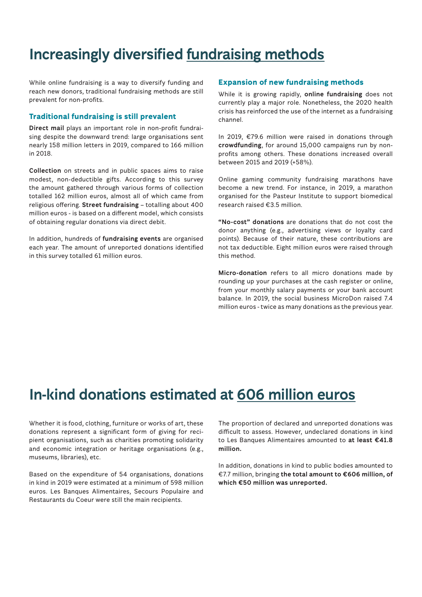### **Increasingly diversified fundraising methods**

While online fundraising is a way to diversify funding and reach new donors, traditional fundraising methods are still prevalent for non-profits.

#### **Traditional fundraising is still prevalent**

**Direct mail** plays an important role in non-profit fundraising despite the downward trend: large organisations sent nearly 158 million letters in 2019, compared to 166 million in 2018.

**Collection** on streets and in public spaces aims to raise modest, non-deductible gifts. According to this survey the amount gathered through various forms of collection totalled 162 million euros, almost all of which came from religious offering. **Street fundraising** – totalling about 400 million euros - is based on a different model, which consists of obtaining regular donations via direct debit.

In addition, hundreds of **fundraising events** are organised each year. The amount of unreported donations identified in this survey totalled 61 million euros.

#### **Expansion of new fundraising methods**

While it is growing rapidly, **online fundraising** does not currently play a major role. Nonetheless, the 2020 health crisis has reinforced the use of the internet as a fundraising channel.

In 2019, €79.6 million were raised in donations through **crowdfunding**, for around 15,000 campaigns run by nonprofits among others. These donations increased overall between 2015 and 2019 (+58%).

Online gaming community fundraising marathons have become a new trend. For instance, in 2019, a marathon organised for the Pasteur Institute to support biomedical research raised €3.5 million.

**"No-cost" donations** are donations that do not cost the donor anything (e.g., advertising views or loyalty card points). Because of their nature, these contributions are not tax deductible. Eight million euros were raised through this method.

**Micro-donation** refers to all micro donations made by rounding up your purchases at the cash register or online, from your monthly salary payments or your bank account balance. In 2019, the social business MicroDon raised 7.4 million euros - twice as many donations as the previous year.

### **In-kind donations estimated at 606 million euros**

Whether it is food, clothing, furniture or works of art, these donations represent a significant form of giving for recipient organisations, such as charities promoting solidarity and economic integration or heritage organisations (e.g., museums, libraries), etc.

Based on the expenditure of 54 organisations, donations in kind in 2019 were estimated at a minimum of 598 million euros. Les Banques Alimentaires, Secours Populaire and Restaurants du Coeur were still the main recipients.

The proportion of declared and unreported donations was difficult to assess. However, undeclared donations in kind to Les Banques Alimentaires amounted to **at least €41.8 million.**

In addition, donations in kind to public bodies amounted to €7.7 million, bringing **the total amount to €606 million, of which €50 million was unreported.**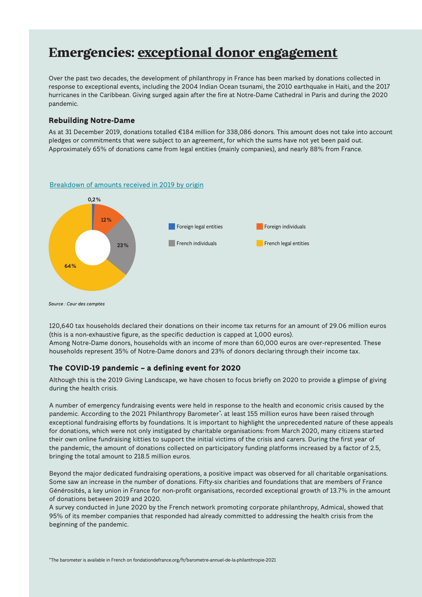### **Emergencies: exceptional donor engagement**

Over the past two decades, the development of philanthropy in France has been marked by donations collected in response to exceptional events, including the 2004 Indian Ocean tsunami, the 2010 earthquake in Haiti, and the 2017 hurricanes in the Caribbean. Giving surged again after the fire at Notre-Dame Cathedral in Paris and during the 2020 pandemic.

#### **Rebuilding Notre-Dame**

As at 31 December 2019, donations totalled €184 million for 338,086 donors. This amount does not take into account pledges or commitments that were subject to an agreement, for which the sums have not yet been paid out. Approximately 65% of donations came from legal entities (mainly companies), and nearly 88% from France.

#### Breakdown of amounts received in 2019 by origin



Source : Cour des comptes

120,640 tax households declared their donations on their income tax returns for an amount of 29.06 million euros (this is a non-exhaustive figure, as the specific deduction is capped at 1,000 euros). Among Notre-Dame donors, households with an income of more than 60,000 euros are over-represented. These households represent 35% of Notre-Dame donors and 23% of donors declaring through their income tax.

#### **The COVID-19 pandemic – a defining event for 2020**

Although this is the 2019 Giving Landscape, we have chosen to focus briefly on 2020 to provide a glimpse of giving during the health crisis.

A number of emergency fundraising events were held in response to the health and economic crisis caused by the pandemic. According to the 2021 Philanthropy Barometer\*, at least 155 million euros have been raised through exceptional fundraising efforts by foundations. It is important to highlight the unprecedented nature of these appeals for donations, which were not only instigated by charitable organisations: from March 2020, many citizens started their own online fundraising kitties to support the initial victims of the crisis and carers. During the first year of the pandemic, the amount of donations collected on participatory funding platforms increased by a factor of 2.5, bringing the total amount to 218.5 million euros.

Beyond the major dedicated fundraising operations, a positive impact was observed for all charitable organisations. Some saw an increase in the number of donations. Fifty-six charities and foundations that are members of France Générosités, a key union in France for non-profit organisations, recorded exceptional growth of 13.7% in the amount of donations between 2019 and 2020.

A survey conducted in June 2020 by the French network promoting corporate philanthropy, Admical, showed that 95% of its member companies that responded had already committed to addressing the health crisis from the beginning of the pandemic.